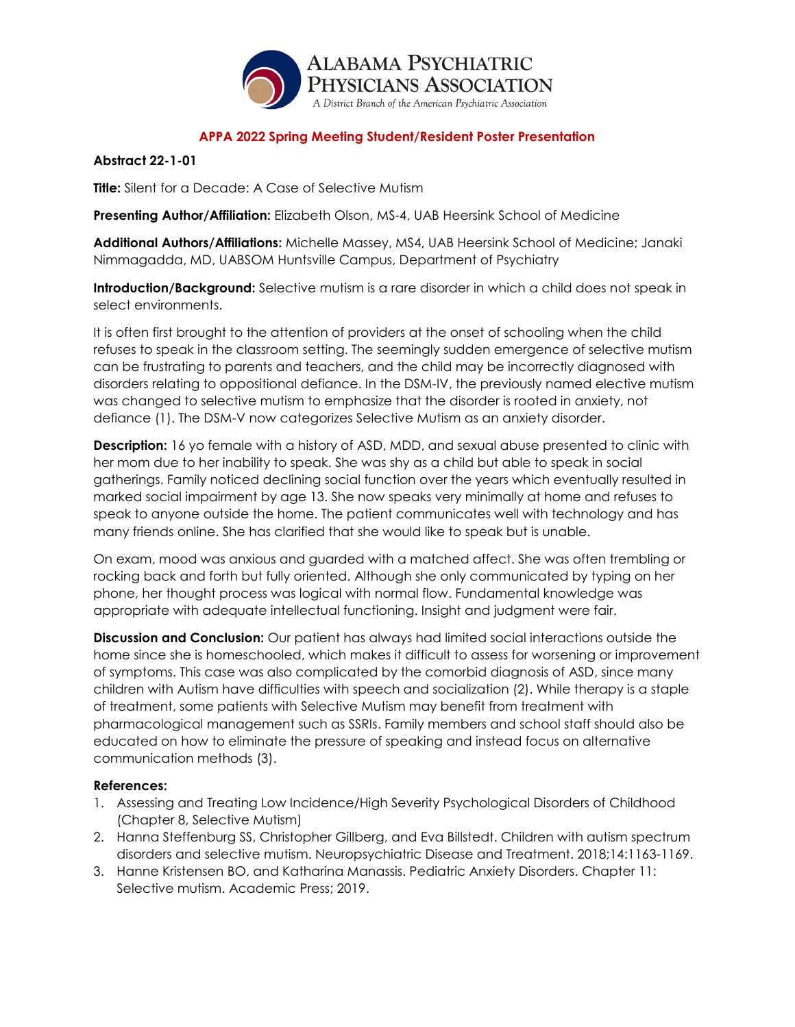

### **Abstract 22-1-01**

**Title:** Silent for a Decade: A Case of Selective Mutism

**Presenting Author/Affiliation:** Elizabeth Olson, MS-4, UAB Heersink School of Medicine

**Additional Authors/Affiliations:** Michelle Massey, MS4, UAB Heersink School of Medicine; Janaki Nimmagadda, MD, UABSOM Huntsville Campus, Department of Psychiatry

**Introduction/Background:** Selective mutism is a rare disorder in which a child does not speak in select environments.

It is often first brought to the attention of providers at the onset of schooling when the child refuses to speak in the classroom setting. The seemingly sudden emergence of selective mutism can be frustrating to parents and teachers, and the child may be incorrectly diagnosed with disorders relating to oppositional defiance. In the DSM-IV, the previously named elective mutism was changed to selective mutism to emphasize that the disorder is rooted in anxiety, not defiance (1). The DSM-V now categorizes Selective Mutism as an anxiety disorder.

**Description:** 16 yo female with a history of ASD, MDD, and sexual abuse presented to clinic with her mom due to her inability to speak. She was shy as a child but able to speak in social gatherings. Family noticed declining social function over the years which eventually resulted in marked social impairment by age 13. She now speaks very minimally at home and refuses to speak to anyone outside the home. The patient communicates well with technology and has many friends online. She has clarified that she would like to speak but is unable.

On exam, mood was anxious and guarded with a matched affect. She was often trembling or rocking back and forth but fully oriented. Although she only communicated by typing on her phone, her thought process was logical with normal flow. Fundamental knowledge was appropriate with adequate intellectual functioning. Insight and judgment were fair.

**Discussion and Conclusion:** Our patient has always had limited social interactions outside the home since she is homeschooled, which makes it difficult to assess for worsening or improvement of symptoms. This case was also complicated by the comorbid diagnosis of ASD, since many children with Autism have difficulties with speech and socialization (2). While therapy is a staple of treatment, some patients with Selective Mutism may benefit from treatment with pharmacological management such as SSRIs. Family members and school staff should also be educated on how to eliminate the pressure of speaking and instead focus on alternative communication methods (3).

- 1. Assessing and Treating Low Incidence/High Severity Psychological Disorders of Childhood (Chapter 8, Selective Mutism)
- 2. Hanna Steffenburg SS, Christopher Gillberg, and Eva Billstedt. Children with autism spectrum disorders and selective mutism. Neuropsychiatric Disease and Treatment. 2018;14:1163-1169.
- 3. Hanne Kristensen BO, and Katharina Manassis. Pediatric Anxiety Disorders. Chapter 11: Selective mutism. Academic Press; 2019.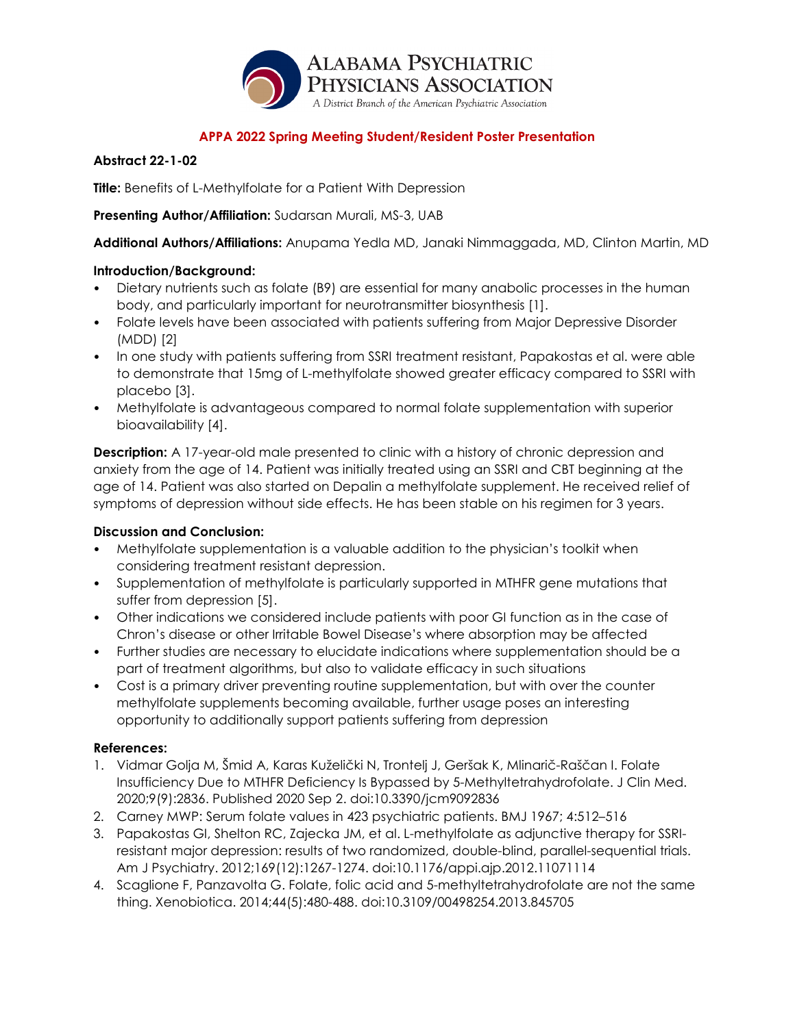

## **Abstract 22-1-02**

**Title:** Benefits of L-Methylfolate for a Patient With Depression

## **Presenting Author/Affiliation:** Sudarsan Murali, MS-3, UAB

**Additional Authors/Affiliations:** Anupama Yedla MD, Janaki Nimmaggada, MD, Clinton Martin, MD

### **Introduction/Background:**

- Dietary nutrients such as folate (B9) are essential for many anabolic processes in the human body, and particularly important for neurotransmitter biosynthesis [1].
- Folate levels have been associated with patients suffering from Major Depressive Disorder (MDD) [2]
- In one study with patients suffering from SSRI treatment resistant, Papakostas et al. were able to demonstrate that 15mg of L-methylfolate showed greater efficacy compared to SSRI with placebo [3].
- Methylfolate is advantageous compared to normal folate supplementation with superior bioavailability [4].

**Description:** A 17-year-old male presented to clinic with a history of chronic depression and anxiety from the age of 14. Patient was initially treated using an SSRI and CBT beginning at the age of 14. Patient was also started on Depalin a methylfolate supplement. He received relief of symptoms of depression without side effects. He has been stable on his regimen for 3 years.

## **Discussion and Conclusion:**

- Methylfolate supplementation is a valuable addition to the physician's toolkit when considering treatment resistant depression.
- Supplementation of methylfolate is particularly supported in MTHFR gene mutations that suffer from depression [5].
- Other indications we considered include patients with poor GI function as in the case of Chron's disease or other Irritable Bowel Disease's where absorption may be affected
- Further studies are necessary to elucidate indications where supplementation should be a part of treatment algorithms, but also to validate efficacy in such situations
- Cost is a primary driver preventing routine supplementation, but with over the counter methylfolate supplements becoming available, further usage poses an interesting opportunity to additionally support patients suffering from depression

- 1. Vidmar Golja M, Šmid A, Karas Kuželički N, Trontelj J, Geršak K, Mlinarič-Raščan I. Folate Insufficiency Due to MTHFR Deficiency Is Bypassed by 5-Methyltetrahydrofolate. J Clin Med. 2020;9(9):2836. Published 2020 Sep 2. doi:10.3390/jcm9092836
- 2. Carney MWP: Serum folate values in 423 psychiatric patients. BMJ 1967; 4:512–516
- 3. Papakostas GI, Shelton RC, Zajecka JM, et al. L-methylfolate as adjunctive therapy for SSRIresistant major depression: results of two randomized, double-blind, parallel-sequential trials. Am J Psychiatry. 2012;169(12):1267-1274. doi:10.1176/appi.ajp.2012.11071114
- 4. Scaglione F, Panzavolta G. Folate, folic acid and 5-methyltetrahydrofolate are not the same thing. Xenobiotica. 2014;44(5):480-488. doi:10.3109/00498254.2013.845705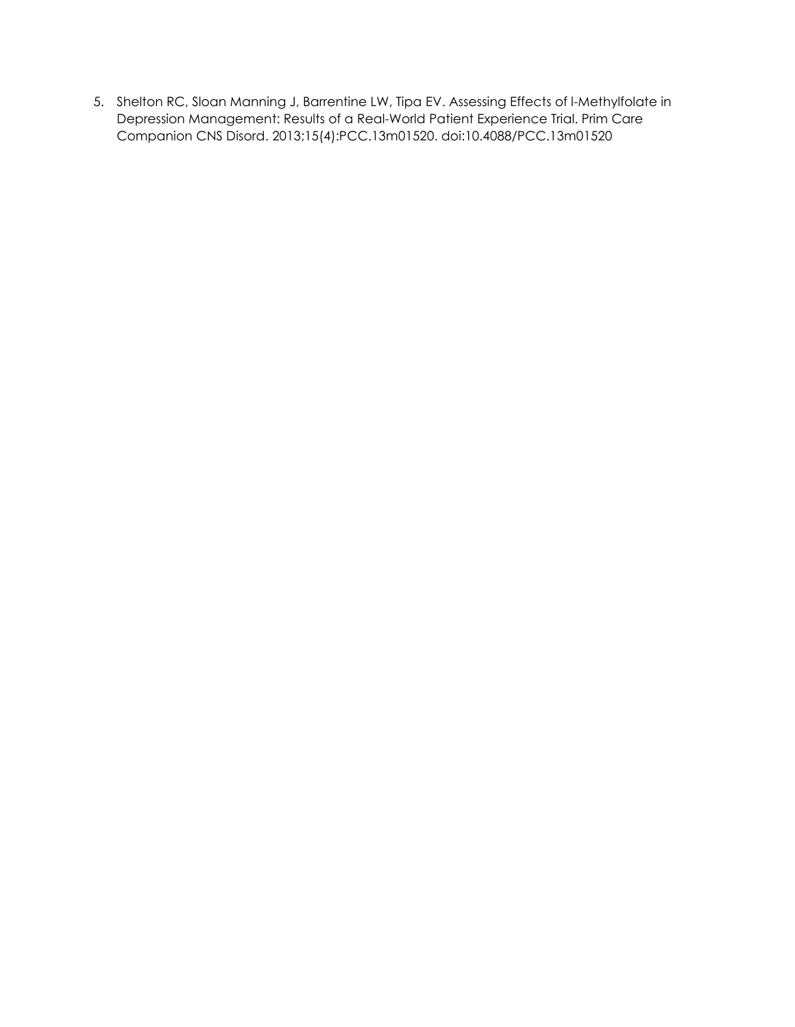5. Shelton RC, Sloan Manning J, Barrentine LW, Tipa EV. Assessing Effects of l-Methylfolate in Depression Management: Results of a Real-World Patient Experience Trial. Prim Care Companion CNS Disord. 2013;15(4):PCC.13m01520. doi:10.4088/PCC.13m01520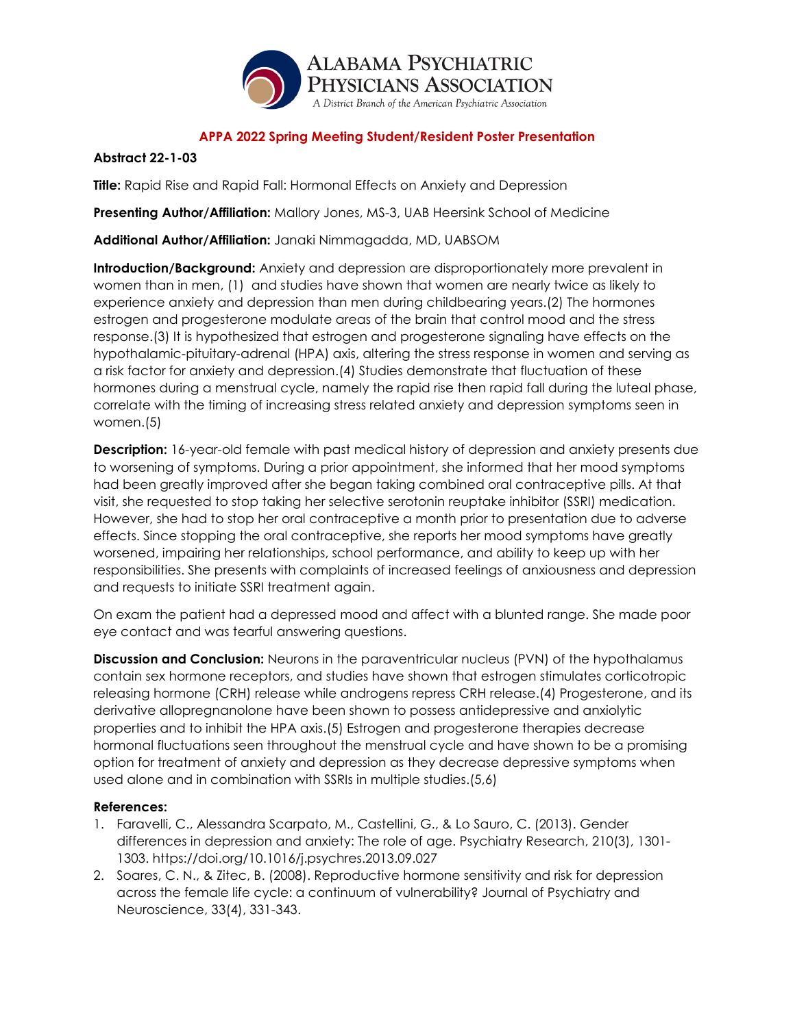

## **Abstract 22-1-03**

**Title:** Rapid Rise and Rapid Fall: Hormonal Effects on Anxiety and Depression

**Presenting Author/Affiliation:** Mallory Jones, MS-3, UAB Heersink School of Medicine

**Additional Author/Affiliation:** Janaki Nimmagadda, MD, UABSOM

**Introduction/Background:** Anxiety and depression are disproportionately more prevalent in women than in men, (1) and studies have shown that women are nearly twice as likely to experience anxiety and depression than men during childbearing years.(2) The hormones estrogen and progesterone modulate areas of the brain that control mood and the stress response.(3) It is hypothesized that estrogen and progesterone signaling have effects on the hypothalamic-pituitary-adrenal (HPA) axis, altering the stress response in women and serving as a risk factor for anxiety and depression.(4) Studies demonstrate that fluctuation of these hormones during a menstrual cycle, namely the rapid rise then rapid fall during the luteal phase, correlate with the timing of increasing stress related anxiety and depression symptoms seen in women.(5)

**Description:** 16-year-old female with past medical history of depression and anxiety presents due to worsening of symptoms. During a prior appointment, she informed that her mood symptoms had been greatly improved after she began taking combined oral contraceptive pills. At that visit, she requested to stop taking her selective serotonin reuptake inhibitor (SSRI) medication. However, she had to stop her oral contraceptive a month prior to presentation due to adverse effects. Since stopping the oral contraceptive, she reports her mood symptoms have greatly worsened, impairing her relationships, school performance, and ability to keep up with her responsibilities. She presents with complaints of increased feelings of anxiousness and depression and requests to initiate SSRI treatment again.

On exam the patient had a depressed mood and affect with a blunted range. She made poor eye contact and was tearful answering questions.

**Discussion and Conclusion:** Neurons in the paraventricular nucleus (PVN) of the hypothalamus contain sex hormone receptors, and studies have shown that estrogen stimulates corticotropic releasing hormone (CRH) release while androgens repress CRH release.(4) Progesterone, and its derivative allopregnanolone have been shown to possess antidepressive and anxiolytic properties and to inhibit the HPA axis.(5) Estrogen and progesterone therapies decrease hormonal fluctuations seen throughout the menstrual cycle and have shown to be a promising option for treatment of anxiety and depression as they decrease depressive symptoms when used alone and in combination with SSRIs in multiple studies.(5,6)

- 1. Faravelli, C., Alessandra Scarpato, M., Castellini, G., & Lo Sauro, C. (2013). Gender differences in depression and anxiety: The role of age. Psychiatry Research, 210(3), 1301- 1303. https://doi.org/10.1016/j.psychres.2013.09.027
- 2. Soares, C. N., & Zitec, B. (2008). Reproductive hormone sensitivity and risk for depression across the female life cycle: a continuum of vulnerability? Journal of Psychiatry and Neuroscience, 33(4), 331-343.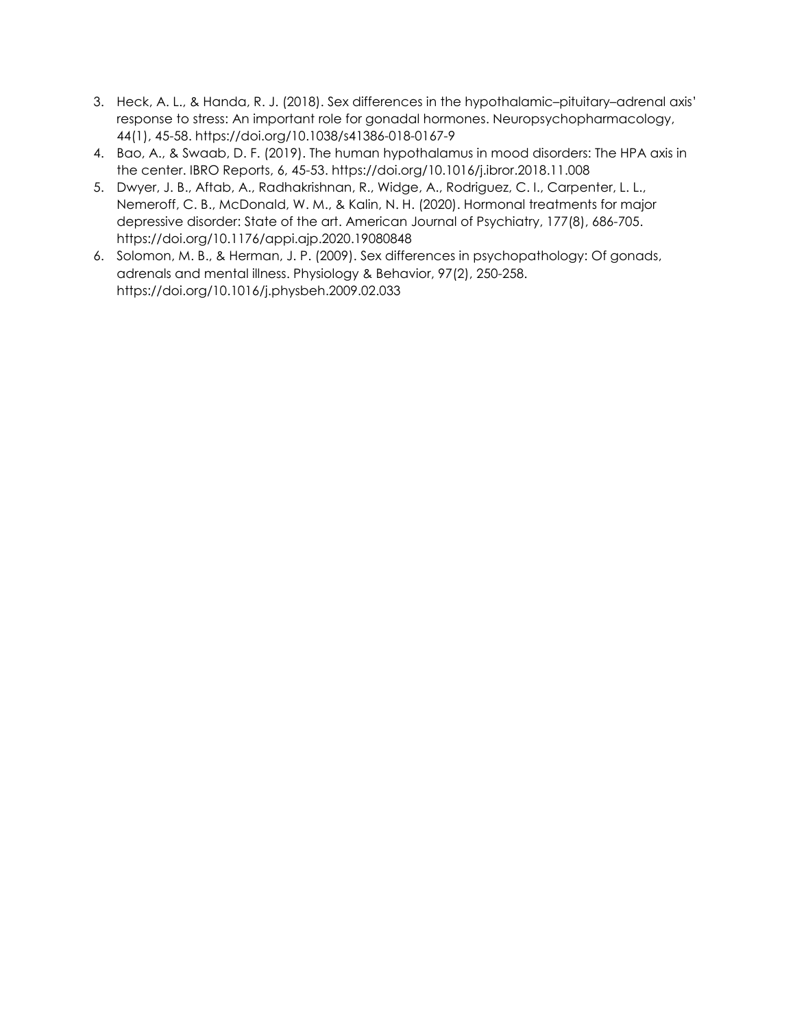- 3. Heck, A. L., & Handa, R. J. (2018). Sex differences in the hypothalamic–pituitary–adrenal axis' response to stress: An important role for gonadal hormones. Neuropsychopharmacology, 44(1), 45-58. https://doi.org/10.1038/s41386-018-0167-9
- 4. Bao, A., & Swaab, D. F. (2019). The human hypothalamus in mood disorders: The HPA axis in the center. IBRO Reports, 6, 45-53. https://doi.org/10.1016/j.ibror.2018.11.008
- 5. Dwyer, J. B., Aftab, A., Radhakrishnan, R., Widge, A., Rodriguez, C. I., Carpenter, L. L., Nemeroff, C. B., McDonald, W. M., & Kalin, N. H. (2020). Hormonal treatments for major depressive disorder: State of the art. American Journal of Psychiatry, 177(8), 686-705. https://doi.org/10.1176/appi.ajp.2020.19080848
- 6. Solomon, M. B., & Herman, J. P. (2009). Sex differences in psychopathology: Of gonads, adrenals and mental illness. Physiology & Behavior, 97(2), 250-258. https://doi.org/10.1016/j.physbeh.2009.02.033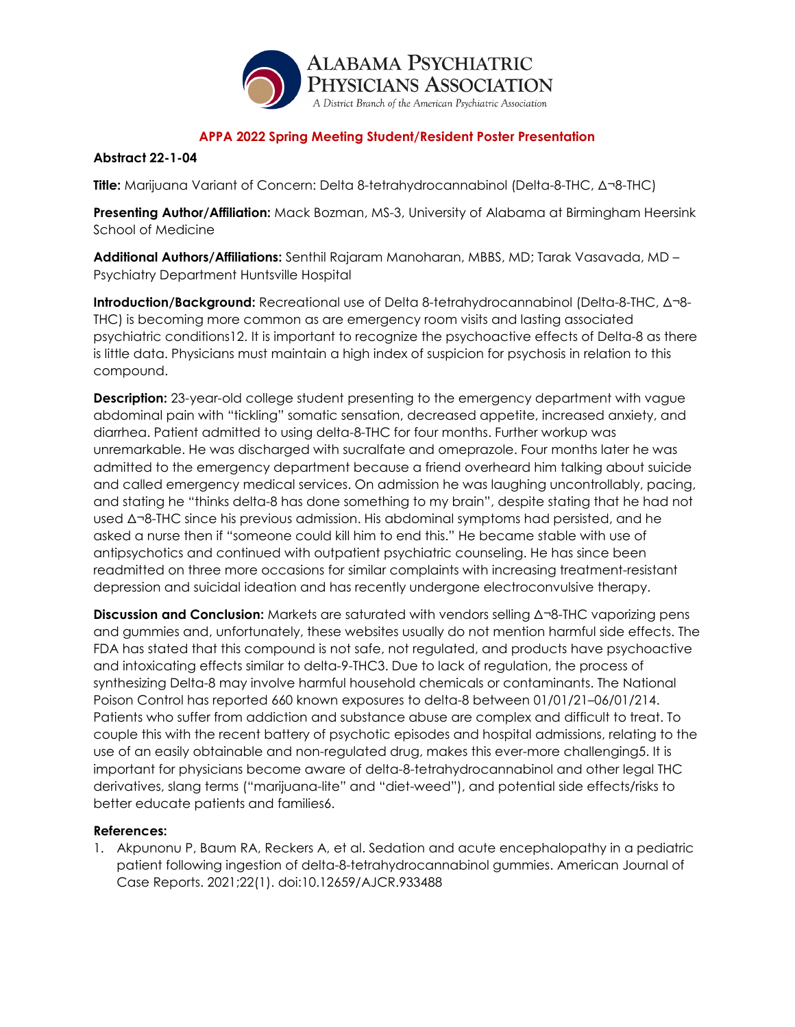

## **Abstract 22-1-04**

**Title:** Marijuana Variant of Concern: Delta 8-tetrahydrocannabinol (Delta-8-THC, Δ¬8-THC)

**Presenting Author/Affiliation:** Mack Bozman, MS-3, University of Alabama at Birmingham Heersink School of Medicine

**Additional Authors/Affiliations:** Senthil Rajaram Manoharan, MBBS, MD; Tarak Vasavada, MD – Psychiatry Department Huntsville Hospital

**Introduction/Background:** Recreational use of Delta 8-tetrahydrocannabinol (Delta-8-THC, Δ¬8- THC) is becoming more common as are emergency room visits and lasting associated psychiatric conditions12. It is important to recognize the psychoactive effects of Delta-8 as there is little data. Physicians must maintain a high index of suspicion for psychosis in relation to this compound.

**Description:** 23-year-old college student presenting to the emergency department with vague abdominal pain with "tickling" somatic sensation, decreased appetite, increased anxiety, and diarrhea. Patient admitted to using delta-8-THC for four months. Further workup was unremarkable. He was discharged with sucralfate and omeprazole. Four months later he was admitted to the emergency department because a friend overheard him talking about suicide and called emergency medical services. On admission he was laughing uncontrollably, pacing, and stating he "thinks delta-8 has done something to my brain", despite stating that he had not used Δ¬8-THC since his previous admission. His abdominal symptoms had persisted, and he asked a nurse then if "someone could kill him to end this." He became stable with use of antipsychotics and continued with outpatient psychiatric counseling. He has since been readmitted on three more occasions for similar complaints with increasing treatment-resistant depression and suicidal ideation and has recently undergone electroconvulsive therapy.

**Discussion and Conclusion:** Markets are saturated with vendors selling Δ¬8-THC vaporizing pens and gummies and, unfortunately, these websites usually do not mention harmful side effects. The FDA has stated that this compound is not safe, not regulated, and products have psychoactive and intoxicating effects similar to delta-9-THC3. Due to lack of regulation, the process of synthesizing Delta-8 may involve harmful household chemicals or contaminants. The National Poison Control has reported 660 known exposures to delta-8 between 01/01/21–06/01/214. Patients who suffer from addiction and substance abuse are complex and difficult to treat. To couple this with the recent battery of psychotic episodes and hospital admissions, relating to the use of an easily obtainable and non-regulated drug, makes this ever-more challenging5. It is important for physicians become aware of delta-8-tetrahydrocannabinol and other legal THC derivatives, slang terms ("marijuana-lite" and "diet-weed"), and potential side effects/risks to better educate patients and families6.

### **References:**

1. Akpunonu P, Baum RA, Reckers A, et al. Sedation and acute encephalopathy in a pediatric patient following ingestion of delta-8-tetrahydrocannabinol gummies. American Journal of Case Reports. 2021;22(1). doi:10.12659/AJCR.933488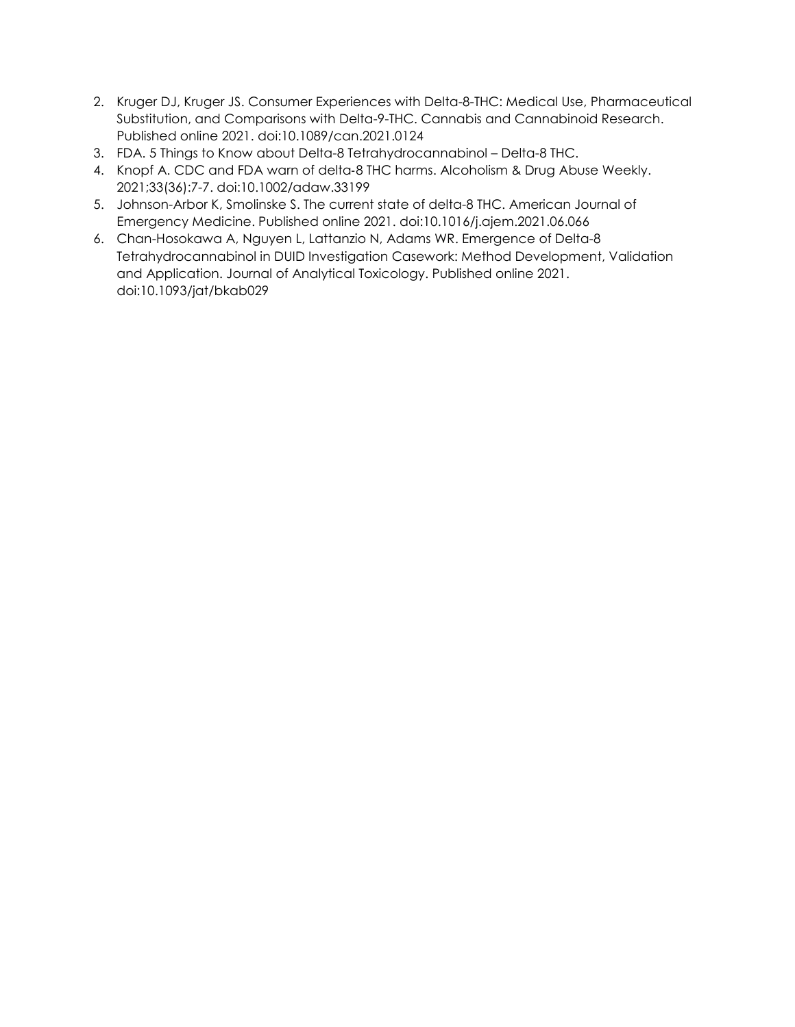- 2. Kruger DJ, Kruger JS. Consumer Experiences with Delta-8-THC: Medical Use, Pharmaceutical Substitution, and Comparisons with Delta-9-THC. Cannabis and Cannabinoid Research. Published online 2021. doi:10.1089/can.2021.0124
- 3. FDA. 5 Things to Know about Delta-8 Tetrahydrocannabinol Delta-8 THC.
- 4. Knopf A. CDC and FDA warn of delta‐8 THC harms. Alcoholism & Drug Abuse Weekly. 2021;33(36):7-7. doi:10.1002/adaw.33199
- 5. Johnson-Arbor K, Smolinske S. The current state of delta-8 THC. American Journal of Emergency Medicine. Published online 2021. doi:10.1016/j.ajem.2021.06.066
- 6. Chan-Hosokawa A, Nguyen L, Lattanzio N, Adams WR. Emergence of Delta-8 Tetrahydrocannabinol in DUID Investigation Casework: Method Development, Validation and Application. Journal of Analytical Toxicology. Published online 2021. doi:10.1093/jat/bkab029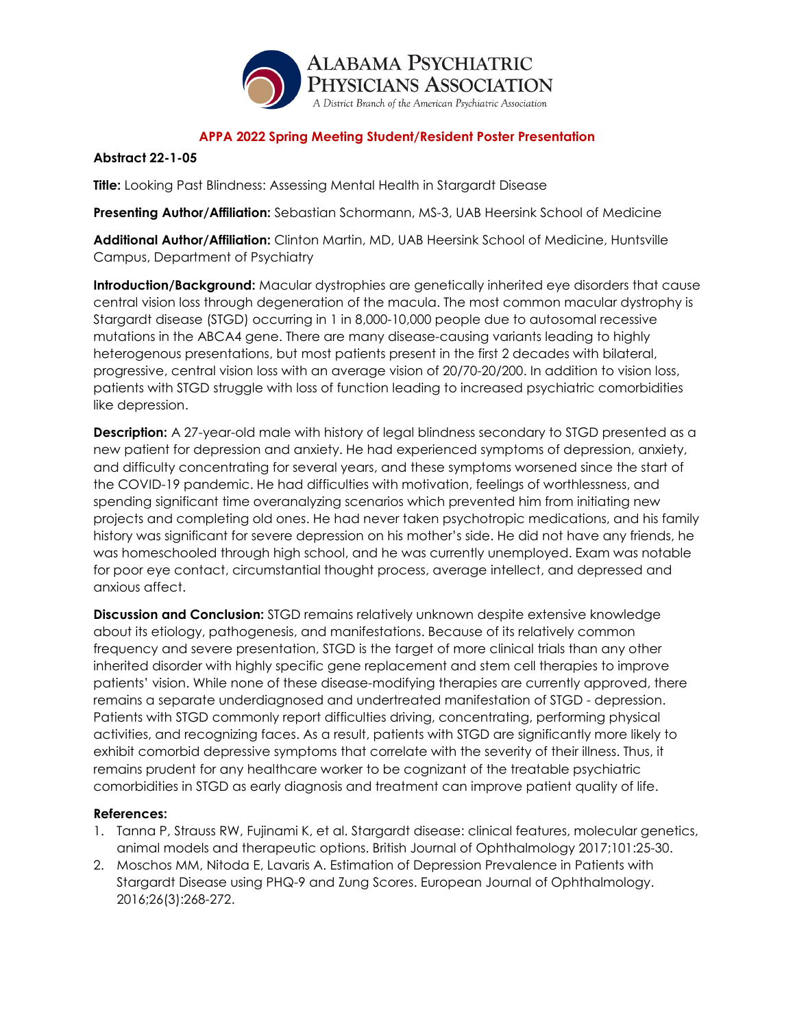

### **Abstract 22-1-05**

**Title:** Looking Past Blindness: Assessing Mental Health in Stargardt Disease

**Presenting Author/Affiliation:** Sebastian Schormann, MS-3, UAB Heersink School of Medicine

**Additional Author/Affiliation:** Clinton Martin, MD, UAB Heersink School of Medicine, Huntsville Campus, Department of Psychiatry

**Introduction/Background:** Macular dystrophies are genetically inherited eye disorders that cause central vision loss through degeneration of the macula. The most common macular dystrophy is Stargardt disease (STGD) occurring in 1 in 8,000-10,000 people due to autosomal recessive mutations in the ABCA4 gene. There are many disease-causing variants leading to highly heterogenous presentations, but most patients present in the first 2 decades with bilateral, progressive, central vision loss with an average vision of 20/70-20/200. In addition to vision loss, patients with STGD struggle with loss of function leading to increased psychiatric comorbidities like depression.

**Description:** A 27-year-old male with history of legal blindness secondary to STGD presented as a new patient for depression and anxiety. He had experienced symptoms of depression, anxiety, and difficulty concentrating for several years, and these symptoms worsened since the start of the COVID-19 pandemic. He had difficulties with motivation, feelings of worthlessness, and spending significant time overanalyzing scenarios which prevented him from initiating new projects and completing old ones. He had never taken psychotropic medications, and his family history was significant for severe depression on his mother's side. He did not have any friends, he was homeschooled through high school, and he was currently unemployed. Exam was notable for poor eye contact, circumstantial thought process, average intellect, and depressed and anxious affect.

**Discussion and Conclusion:** STGD remains relatively unknown despite extensive knowledge about its etiology, pathogenesis, and manifestations. Because of its relatively common frequency and severe presentation, STGD is the target of more clinical trials than any other inherited disorder with highly specific gene replacement and stem cell therapies to improve patients' vision. While none of these disease-modifying therapies are currently approved, there remains a separate underdiagnosed and undertreated manifestation of STGD - depression. Patients with STGD commonly report difficulties driving, concentrating, performing physical activities, and recognizing faces. As a result, patients with STGD are significantly more likely to exhibit comorbid depressive symptoms that correlate with the severity of their illness. Thus, it remains prudent for any healthcare worker to be cognizant of the treatable psychiatric comorbidities in STGD as early diagnosis and treatment can improve patient quality of life.

- 1. Tanna P, Strauss RW, Fujinami K, et al. Stargardt disease: clinical features, molecular genetics, animal models and therapeutic options. British Journal of Ophthalmology 2017;101:25-30.
- 2. Moschos MM, Nitoda E, Lavaris A. Estimation of Depression Prevalence in Patients with Stargardt Disease using PHQ-9 and Zung Scores. European Journal of Ophthalmology. 2016;26(3):268-272.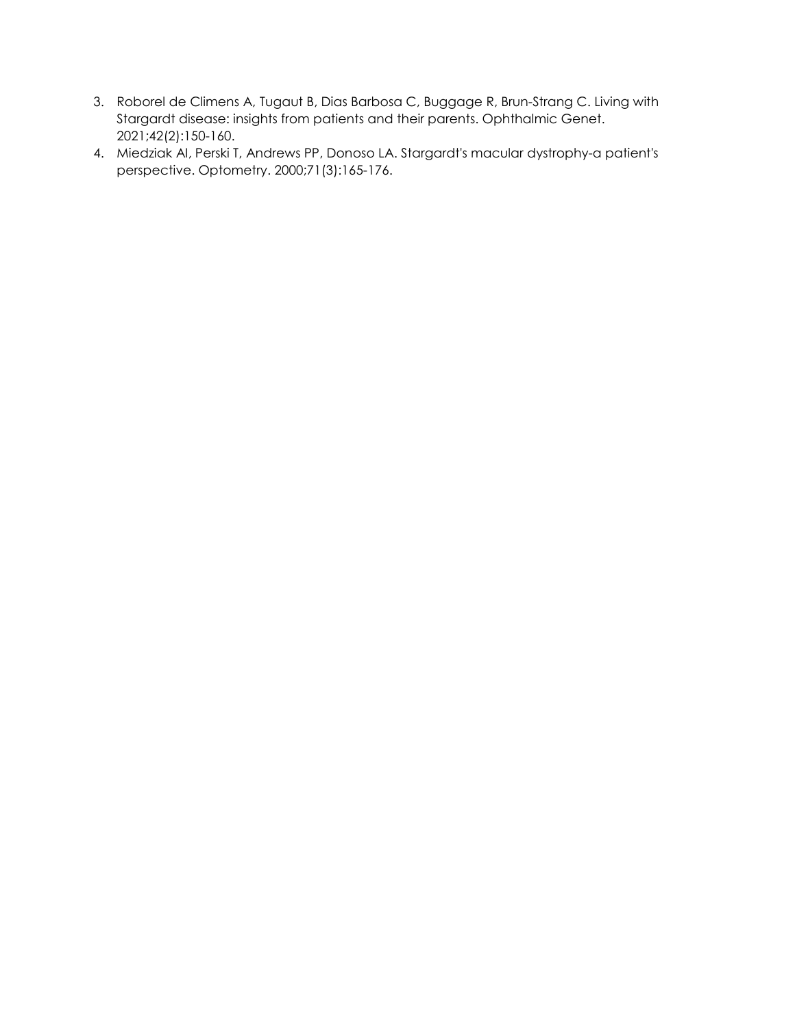- 3. Roborel de Climens A, Tugaut B, Dias Barbosa C, Buggage R, Brun-Strang C. Living with Stargardt disease: insights from patients and their parents. Ophthalmic Genet. 2021;42(2):150-160.
- 4. Miedziak AI, Perski T, Andrews PP, Donoso LA. Stargardt's macular dystrophy-a patient's perspective. Optometry. 2000;71(3):165-176.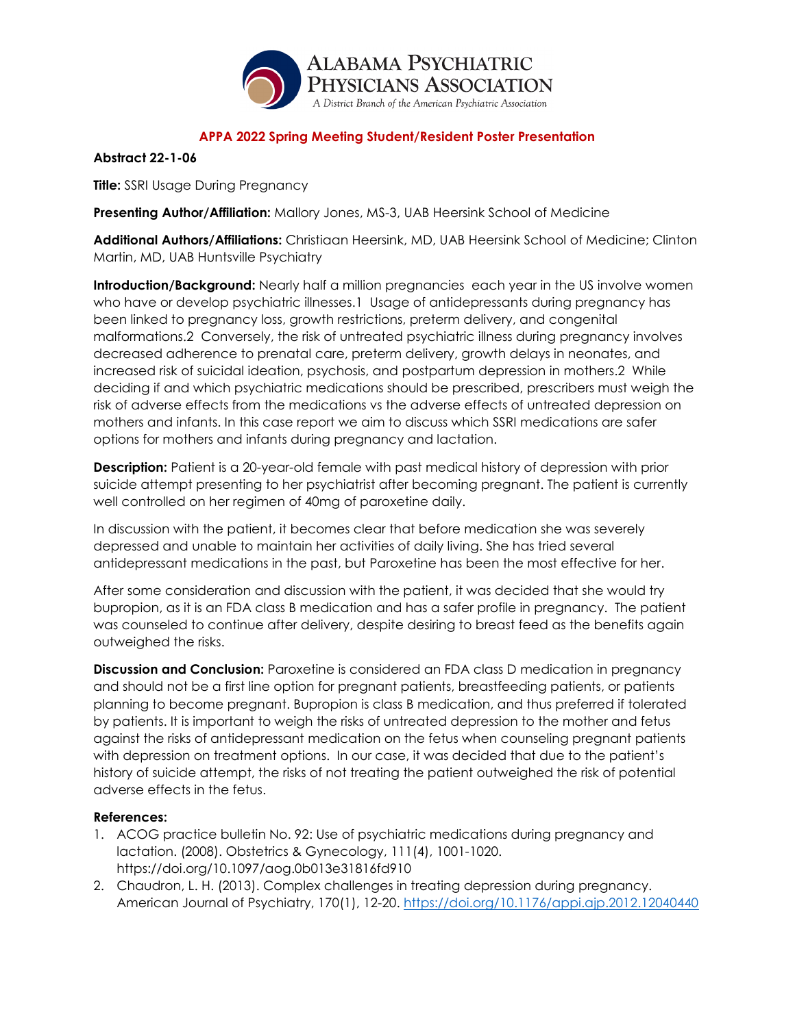

### **Abstract 22-1-06**

**Title:** SSRI Usage During Pregnancy

**Presenting Author/Affiliation:** Mallory Jones, MS-3, UAB Heersink School of Medicine

**Additional Authors/Affiliations:** Christiaan Heersink, MD, UAB Heersink School of Medicine; Clinton Martin, MD, UAB Huntsville Psychiatry

**Introduction/Background:** Nearly half a million pregnancies each year in the US involve women who have or develop psychiatric illnesses.1 Usage of antidepressants during pregnancy has been linked to pregnancy loss, growth restrictions, preterm delivery, and congenital malformations.2 Conversely, the risk of untreated psychiatric illness during pregnancy involves decreased adherence to prenatal care, preterm delivery, growth delays in neonates, and increased risk of suicidal ideation, psychosis, and postpartum depression in mothers.2 While deciding if and which psychiatric medications should be prescribed, prescribers must weigh the risk of adverse effects from the medications vs the adverse effects of untreated depression on mothers and infants. In this case report we aim to discuss which SSRI medications are safer options for mothers and infants during pregnancy and lactation.

**Description:** Patient is a 20-year-old female with past medical history of depression with prior suicide attempt presenting to her psychiatrist after becoming pregnant. The patient is currently well controlled on her regimen of 40mg of paroxetine daily.

In discussion with the patient, it becomes clear that before medication she was severely depressed and unable to maintain her activities of daily living. She has tried several antidepressant medications in the past, but Paroxetine has been the most effective for her.

After some consideration and discussion with the patient, it was decided that she would try bupropion, as it is an FDA class B medication and has a safer profile in pregnancy. The patient was counseled to continue after delivery, despite desiring to breast feed as the benefits again outweighed the risks.

**Discussion and Conclusion:** Paroxetine is considered an FDA class D medication in pregnancy and should not be a first line option for pregnant patients, breastfeeding patients, or patients planning to become pregnant. Bupropion is class B medication, and thus preferred if tolerated by patients. It is important to weigh the risks of untreated depression to the mother and fetus against the risks of antidepressant medication on the fetus when counseling pregnant patients with depression on treatment options. In our case, it was decided that due to the patient's history of suicide attempt, the risks of not treating the patient outweighed the risk of potential adverse effects in the fetus.

- 1. ACOG practice bulletin No. 92: Use of psychiatric medications during pregnancy and lactation. (2008). Obstetrics & Gynecology, 111(4), 1001-1020. https://doi.org/10.1097/aog.0b013e31816fd910
- 2. Chaudron, L. H. (2013). Complex challenges in treating depression during pregnancy. American Journal of Psychiatry, 170(1), 12-20.<https://doi.org/10.1176/appi.ajp.2012.12040440>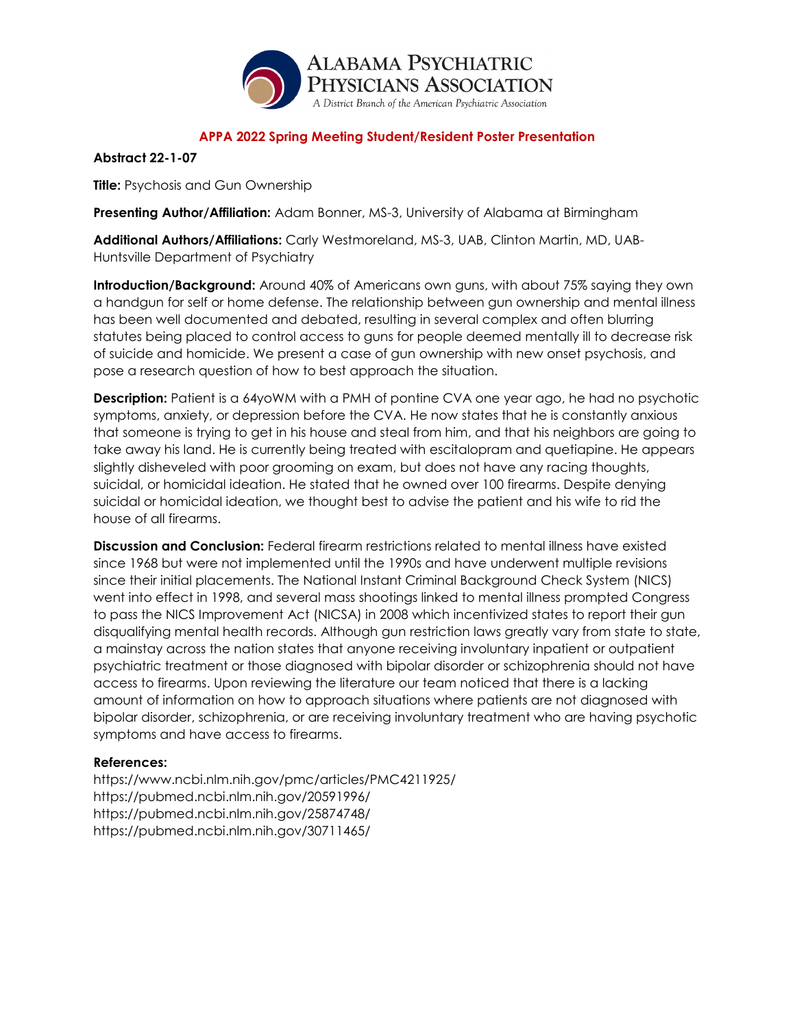

**Abstract 22-1-07**

**Title:** Psychosis and Gun Ownership

**Presenting Author/Affiliation:** Adam Bonner, MS-3, University of Alabama at Birmingham

**Additional Authors/Affiliations:** Carly Westmoreland, MS-3, UAB, Clinton Martin, MD, UAB-Huntsville Department of Psychiatry

**Introduction/Background:** Around 40% of Americans own guns, with about 75% saying they own a handgun for self or home defense. The relationship between gun ownership and mental illness has been well documented and debated, resulting in several complex and often blurring statutes being placed to control access to guns for people deemed mentally ill to decrease risk of suicide and homicide. We present a case of gun ownership with new onset psychosis, and pose a research question of how to best approach the situation.

**Description:** Patient is a 64yoWM with a PMH of pontine CVA one year ago, he had no psychotic symptoms, anxiety, or depression before the CVA. He now states that he is constantly anxious that someone is trying to get in his house and steal from him, and that his neighbors are going to take away his land. He is currently being treated with escitalopram and quetiapine. He appears slightly disheveled with poor grooming on exam, but does not have any racing thoughts, suicidal, or homicidal ideation. He stated that he owned over 100 firearms. Despite denying suicidal or homicidal ideation, we thought best to advise the patient and his wife to rid the house of all firearms.

**Discussion and Conclusion:** Federal firearm restrictions related to mental illness have existed since 1968 but were not implemented until the 1990s and have underwent multiple revisions since their initial placements. The National Instant Criminal Background Check System (NICS) went into effect in 1998, and several mass shootings linked to mental illness prompted Congress to pass the NICS Improvement Act (NICSA) in 2008 which incentivized states to report their gun disqualifying mental health records. Although gun restriction laws greatly vary from state to state, a mainstay across the nation states that anyone receiving involuntary inpatient or outpatient psychiatric treatment or those diagnosed with bipolar disorder or schizophrenia should not have access to firearms. Upon reviewing the literature our team noticed that there is a lacking amount of information on how to approach situations where patients are not diagnosed with bipolar disorder, schizophrenia, or are receiving involuntary treatment who are having psychotic symptoms and have access to firearms.

## **References:**

https://www.ncbi.nlm.nih.gov/pmc/articles/PMC4211925/ https://pubmed.ncbi.nlm.nih.gov/20591996/ https://pubmed.ncbi.nlm.nih.gov/25874748/ https://pubmed.ncbi.nlm.nih.gov/30711465/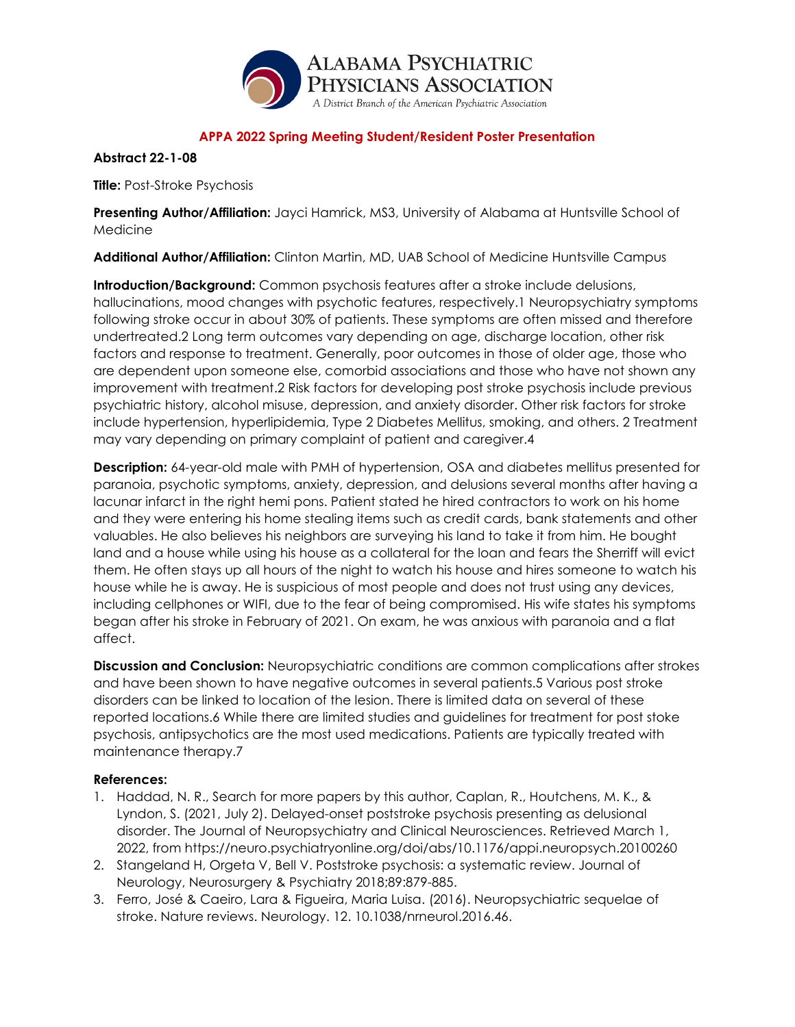

### **Abstract 22-1-08**

**Title:** Post-Stroke Psychosis

**Presenting Author/Affiliation:** Jayci Hamrick, MS3, University of Alabama at Huntsville School of Medicine

**Additional Author/Affiliation:** Clinton Martin, MD, UAB School of Medicine Huntsville Campus

**Introduction/Background:** Common psychosis features after a stroke include delusions, hallucinations, mood changes with psychotic features, respectively.1 Neuropsychiatry symptoms following stroke occur in about 30% of patients. These symptoms are often missed and therefore undertreated.2 Long term outcomes vary depending on age, discharge location, other risk factors and response to treatment. Generally, poor outcomes in those of older age, those who are dependent upon someone else, comorbid associations and those who have not shown any improvement with treatment.2 Risk factors for developing post stroke psychosis include previous psychiatric history, alcohol misuse, depression, and anxiety disorder. Other risk factors for stroke include hypertension, hyperlipidemia, Type 2 Diabetes Mellitus, smoking, and others. 2 Treatment may vary depending on primary complaint of patient and caregiver.4

**Description:** 64-year-old male with PMH of hypertension, OSA and diabetes mellitus presented for paranoia, psychotic symptoms, anxiety, depression, and delusions several months after having a lacunar infarct in the right hemi pons. Patient stated he hired contractors to work on his home and they were entering his home stealing items such as credit cards, bank statements and other valuables. He also believes his neighbors are surveying his land to take it from him. He bought land and a house while using his house as a collateral for the loan and fears the Sherriff will evict them. He often stays up all hours of the night to watch his house and hires someone to watch his house while he is away. He is suspicious of most people and does not trust using any devices, including cellphones or WIFI, due to the fear of being compromised. His wife states his symptoms began after his stroke in February of 2021. On exam, he was anxious with paranoia and a flat affect.

**Discussion and Conclusion:** Neuropsychiatric conditions are common complications after strokes and have been shown to have negative outcomes in several patients.5 Various post stroke disorders can be linked to location of the lesion. There is limited data on several of these reported locations.6 While there are limited studies and guidelines for treatment for post stoke psychosis, antipsychotics are the most used medications. Patients are typically treated with maintenance therapy.7

- 1. Haddad, N. R., Search for more papers by this author, Caplan, R., Houtchens, M. K., & Lyndon, S. (2021, July 2). Delayed-onset poststroke psychosis presenting as delusional disorder. The Journal of Neuropsychiatry and Clinical Neurosciences. Retrieved March 1, 2022, from https://neuro.psychiatryonline.org/doi/abs/10.1176/appi.neuropsych.20100260
- 2. Stangeland H, Orgeta V, Bell V. Poststroke psychosis: a systematic review. Journal of Neurology, Neurosurgery & Psychiatry 2018;89:879-885.
- 3. Ferro, José & Caeiro, Lara & Figueira, Maria Luisa. (2016). Neuropsychiatric sequelae of stroke. Nature reviews. Neurology. 12. 10.1038/nrneurol.2016.46.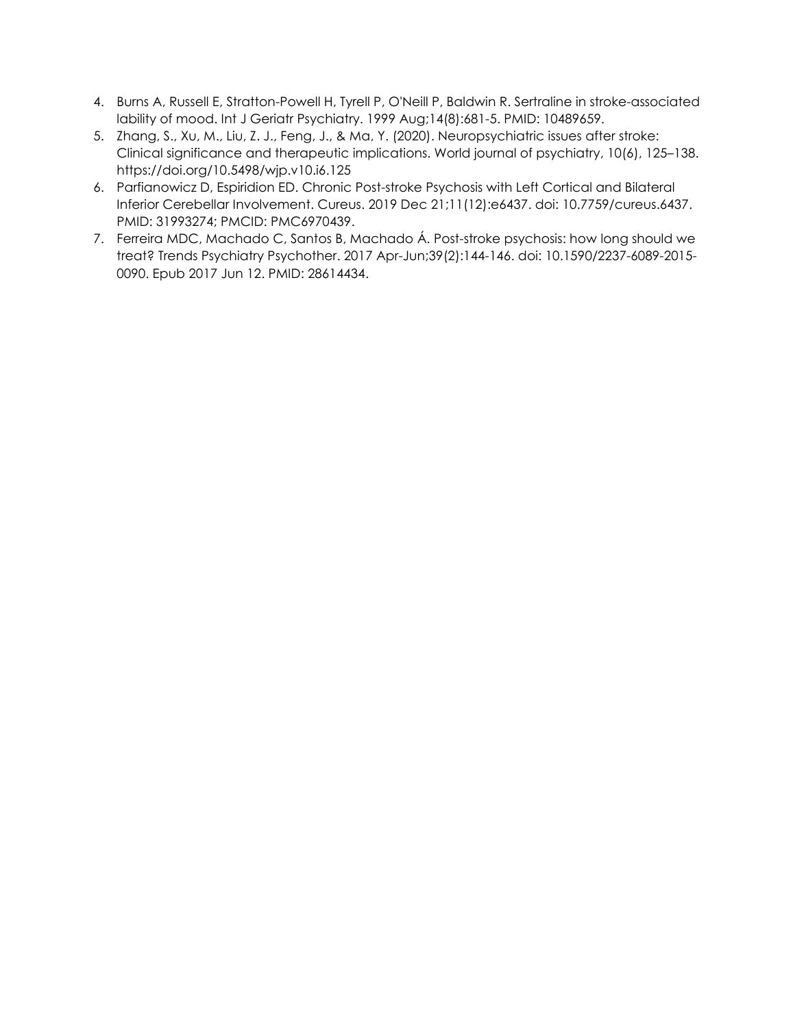- 4. Burns A, Russell E, Stratton-Powell H, Tyrell P, O'Neill P, Baldwin R. Sertraline in stroke-associated lability of mood. Int J Geriatr Psychiatry. 1999 Aug;14(8):681-5. PMID: 10489659.
- 5. Zhang, S., Xu, M., Liu, Z. J., Feng, J., & Ma, Y. (2020). Neuropsychiatric issues after stroke: Clinical significance and therapeutic implications. World journal of psychiatry, 10(6), 125–138. https://doi.org/10.5498/wjp.v10.i6.125
- 6. Parfianowicz D, Espiridion ED. Chronic Post-stroke Psychosis with Left Cortical and Bilateral Inferior Cerebellar Involvement. Cureus. 2019 Dec 21;11(12):e6437. doi: 10.7759/cureus.6437. PMID: 31993274; PMCID: PMC6970439.
- 7. Ferreira MDC, Machado C, Santos B, Machado Á. Post-stroke psychosis: how long should we treat? Trends Psychiatry Psychother. 2017 Apr-Jun;39(2):144-146. doi: 10.1590/2237-6089-2015- 0090. Epub 2017 Jun 12. PMID: 28614434.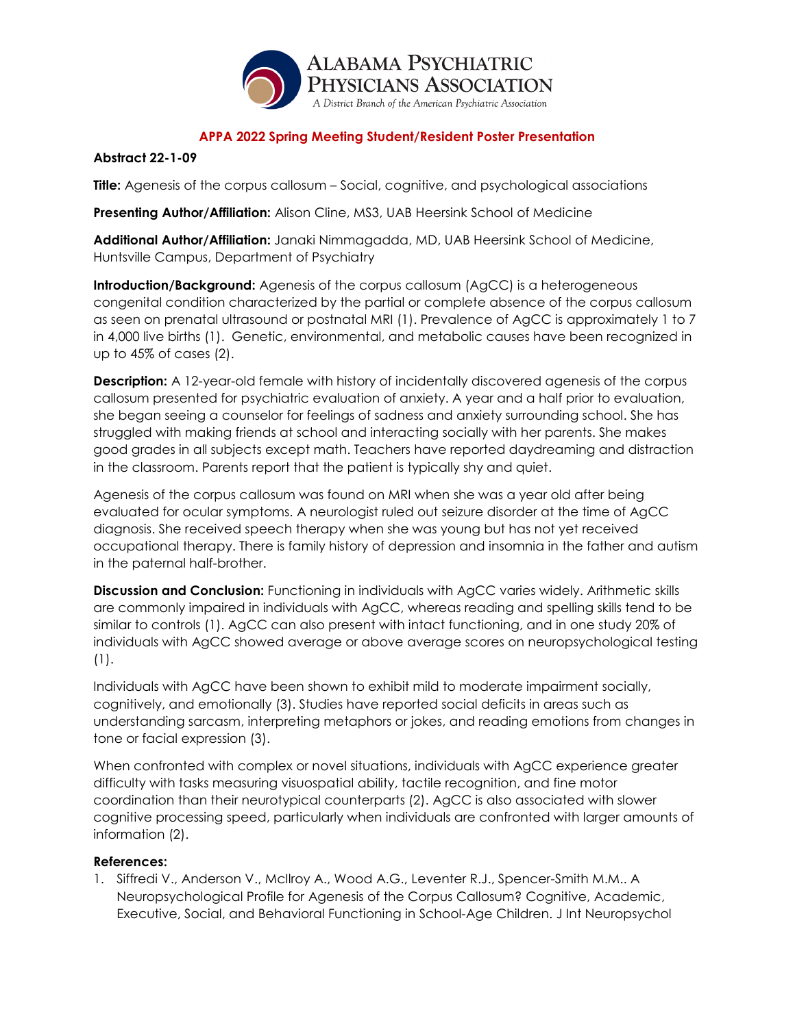

### **Abstract 22-1-09**

**Title:** Agenesis of the corpus callosum – Social, cognitive, and psychological associations

**Presenting Author/Affiliation:** Alison Cline, MS3, UAB Heersink School of Medicine

**Additional Author/Affiliation:** Janaki Nimmagadda, MD, UAB Heersink School of Medicine, Huntsville Campus, Department of Psychiatry

**Introduction/Background:** Agenesis of the corpus callosum (AgCC) is a heterogeneous congenital condition characterized by the partial or complete absence of the corpus callosum as seen on prenatal ultrasound or postnatal MRI (1). Prevalence of AgCC is approximately 1 to 7 in 4,000 live births (1). Genetic, environmental, and metabolic causes have been recognized in up to 45% of cases (2).

**Description:** A 12-year-old female with history of incidentally discovered agenesis of the corpus callosum presented for psychiatric evaluation of anxiety. A year and a half prior to evaluation, she began seeing a counselor for feelings of sadness and anxiety surrounding school. She has struggled with making friends at school and interacting socially with her parents. She makes good grades in all subjects except math. Teachers have reported daydreaming and distraction in the classroom. Parents report that the patient is typically shy and quiet.

Agenesis of the corpus callosum was found on MRI when she was a year old after being evaluated for ocular symptoms. A neurologist ruled out seizure disorder at the time of AgCC diagnosis. She received speech therapy when she was young but has not yet received occupational therapy. There is family history of depression and insomnia in the father and autism in the paternal half-brother.

**Discussion and Conclusion:** Functioning in individuals with AgCC varies widely. Arithmetic skills are commonly impaired in individuals with AgCC, whereas reading and spelling skills tend to be similar to controls (1). AgCC can also present with intact functioning, and in one study 20% of individuals with AgCC showed average or above average scores on neuropsychological testing (1).

Individuals with AgCC have been shown to exhibit mild to moderate impairment socially, cognitively, and emotionally (3). Studies have reported social deficits in areas such as understanding sarcasm, interpreting metaphors or jokes, and reading emotions from changes in tone or facial expression (3).

When confronted with complex or novel situations, individuals with AgCC experience greater difficulty with tasks measuring visuospatial ability, tactile recognition, and fine motor coordination than their neurotypical counterparts (2). AgCC is also associated with slower cognitive processing speed, particularly when individuals are confronted with larger amounts of information (2).

## **References:**

1. Siffredi V., Anderson V., McIlroy A., Wood A.G., Leventer R.J., Spencer-Smith M.M.. A Neuropsychological Profile for Agenesis of the Corpus Callosum? Cognitive, Academic, Executive, Social, and Behavioral Functioning in School-Age Children. J Int Neuropsychol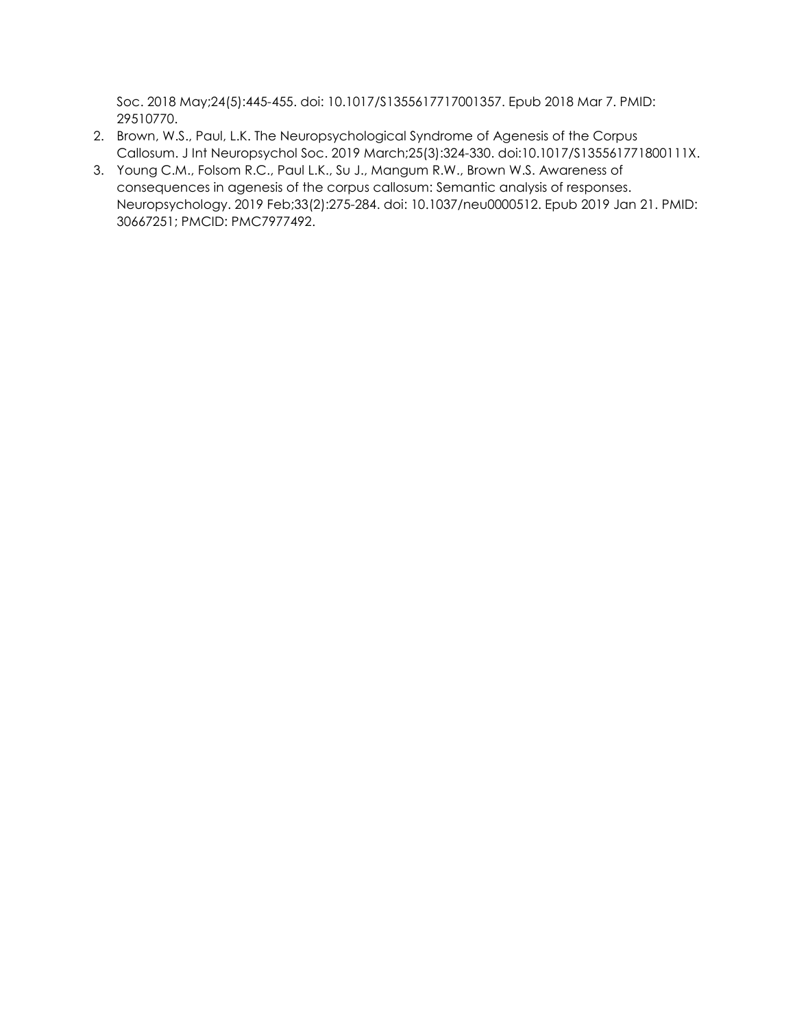Soc. 2018 May;24(5):445-455. doi: 10.1017/S1355617717001357. Epub 2018 Mar 7. PMID: 29510770.

- 2. Brown, W.S., Paul, L.K. The Neuropsychological Syndrome of Agenesis of the Corpus Callosum. J Int Neuropsychol Soc. 2019 March;25(3):324-330. doi:10.1017/S135561771800111X.
- 3. Young C.M., Folsom R.C., Paul L.K., Su J., Mangum R.W., Brown W.S. Awareness of consequences in agenesis of the corpus callosum: Semantic analysis of responses. Neuropsychology. 2019 Feb;33(2):275-284. doi: 10.1037/neu0000512. Epub 2019 Jan 21. PMID: 30667251; PMCID: PMC7977492.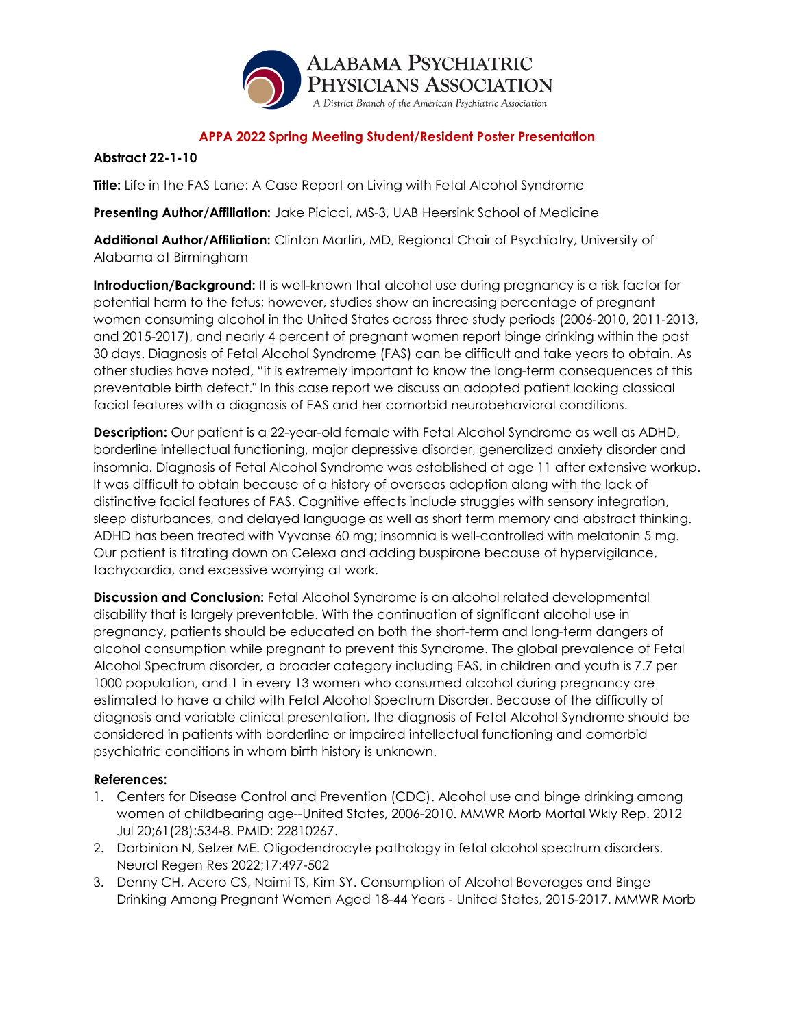

### **Abstract 22-1-10**

**Title:** Life in the FAS Lane: A Case Report on Living with Fetal Alcohol Syndrome

**Presenting Author/Affiliation:** Jake Picicci, MS-3, UAB Heersink School of Medicine

**Additional Author/Affiliation:** Clinton Martin, MD, Regional Chair of Psychiatry, University of Alabama at Birmingham

**Introduction/Background:** It is well-known that alcohol use during pregnancy is a risk factor for potential harm to the fetus; however, studies show an increasing percentage of pregnant women consuming alcohol in the United States across three study periods (2006-2010, 2011-2013, and 2015-2017), and nearly 4 percent of pregnant women report binge drinking within the past 30 days. Diagnosis of Fetal Alcohol Syndrome (FAS) can be difficult and take years to obtain. As other studies have noted, "it is extremely important to know the long-term consequences of this preventable birth defect." In this case report we discuss an adopted patient lacking classical facial features with a diagnosis of FAS and her comorbid neurobehavioral conditions.

**Description:** Our patient is a 22-year-old female with Fetal Alcohol Syndrome as well as ADHD, borderline intellectual functioning, major depressive disorder, generalized anxiety disorder and insomnia. Diagnosis of Fetal Alcohol Syndrome was established at age 11 after extensive workup. It was difficult to obtain because of a history of overseas adoption along with the lack of distinctive facial features of FAS. Cognitive effects include struggles with sensory integration, sleep disturbances, and delayed language as well as short term memory and abstract thinking. ADHD has been treated with Vyvanse 60 mg; insomnia is well-controlled with melatonin 5 mg. Our patient is titrating down on Celexa and adding buspirone because of hypervigilance, tachycardia, and excessive worrying at work.

**Discussion and Conclusion:** Fetal Alcohol Syndrome is an alcohol related developmental disability that is largely preventable. With the continuation of significant alcohol use in pregnancy, patients should be educated on both the short-term and long-term dangers of alcohol consumption while pregnant to prevent this Syndrome. The global prevalence of Fetal Alcohol Spectrum disorder, a broader category including FAS, in children and youth is 7.7 per 1000 population, and 1 in every 13 women who consumed alcohol during pregnancy are estimated to have a child with Fetal Alcohol Spectrum Disorder. Because of the difficulty of diagnosis and variable clinical presentation, the diagnosis of Fetal Alcohol Syndrome should be considered in patients with borderline or impaired intellectual functioning and comorbid psychiatric conditions in whom birth history is unknown.

- 1. Centers for Disease Control and Prevention (CDC). Alcohol use and binge drinking among women of childbearing age--United States, 2006-2010. MMWR Morb Mortal Wkly Rep. 2012 Jul 20;61(28):534-8. PMID: 22810267.
- 2. Darbinian N, Selzer ME. Oligodendrocyte pathology in fetal alcohol spectrum disorders. Neural Regen Res 2022;17:497-502
- 3. Denny CH, Acero CS, Naimi TS, Kim SY. Consumption of Alcohol Beverages and Binge Drinking Among Pregnant Women Aged 18-44 Years - United States, 2015-2017. MMWR Morb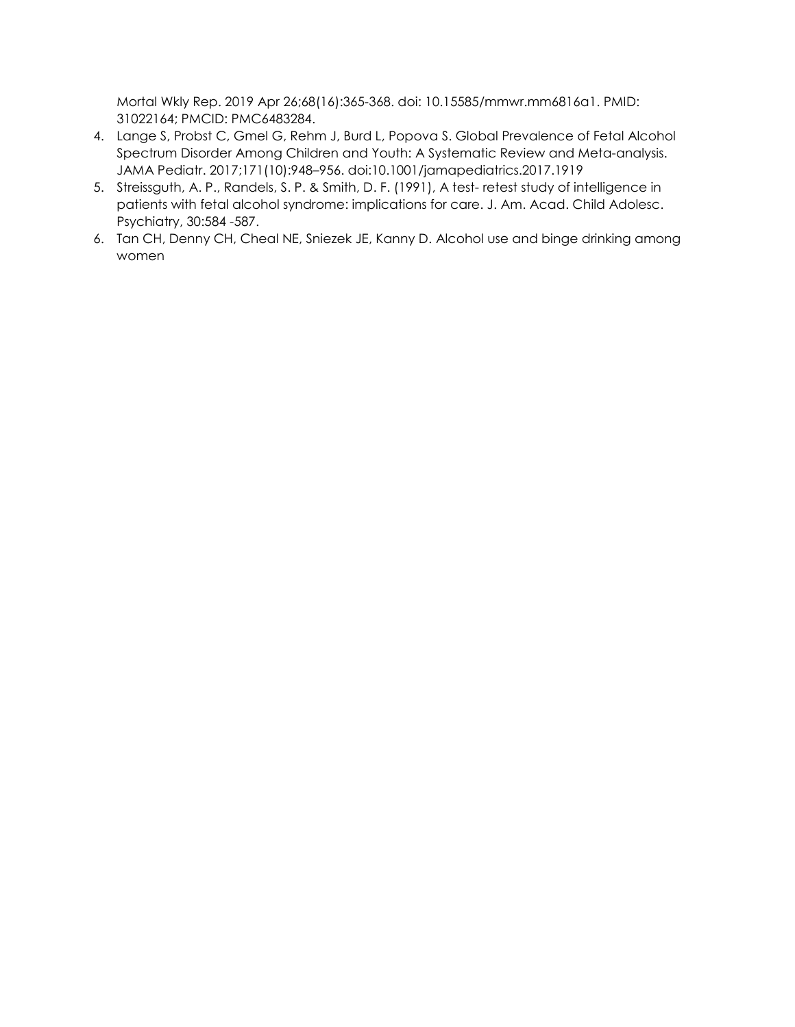Mortal Wkly Rep. 2019 Apr 26;68(16):365-368. doi: 10.15585/mmwr.mm6816a1. PMID: 31022164; PMCID: PMC6483284.

- 4. Lange S, Probst C, Gmel G, Rehm J, Burd L, Popova S. Global Prevalence of Fetal Alcohol Spectrum Disorder Among Children and Youth: A Systematic Review and Meta-analysis. JAMA Pediatr. 2017;171(10):948–956. doi:10.1001/jamapediatrics.2017.1919
- 5. Streissguth, A. P., Randels, S. P. & Smith, D. F. (1991), A test- retest study of intelligence in patients with fetal alcohol syndrome: implications for care. J. Am. Acad. Child Adolesc. Psychiatry, 30:584 -587.
- 6. Tan CH, Denny CH, Cheal NE, Sniezek JE, Kanny D. Alcohol use and binge drinking among women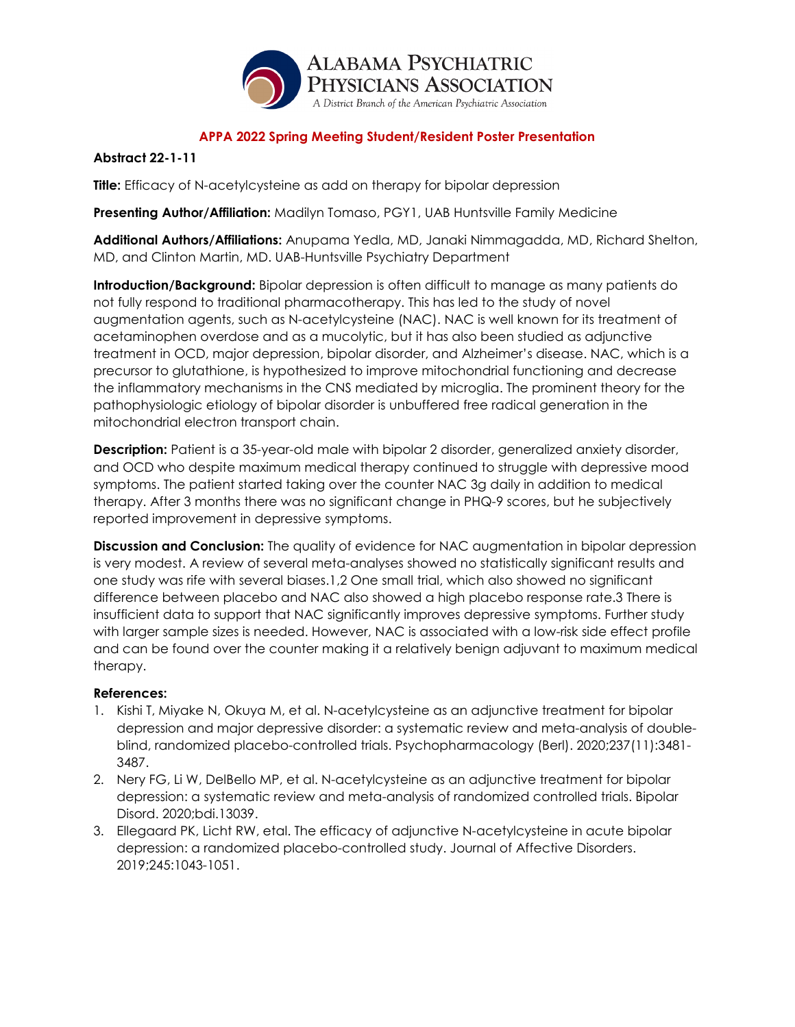

## **Abstract 22-1-11**

**Title:** Efficacy of N-acetylcysteine as add on therapy for bipolar depression

**Presenting Author/Affiliation:** Madilyn Tomaso, PGY1, UAB Huntsville Family Medicine

**Additional Authors/Affiliations:** Anupama Yedla, MD, Janaki Nimmagadda, MD, Richard Shelton, MD, and Clinton Martin, MD. UAB-Huntsville Psychiatry Department

**Introduction/Background:** Bipolar depression is often difficult to manage as many patients do not fully respond to traditional pharmacotherapy. This has led to the study of novel augmentation agents, such as N-acetylcysteine (NAC). NAC is well known for its treatment of acetaminophen overdose and as a mucolytic, but it has also been studied as adjunctive treatment in OCD, major depression, bipolar disorder, and Alzheimer's disease. NAC, which is a precursor to glutathione, is hypothesized to improve mitochondrial functioning and decrease the inflammatory mechanisms in the CNS mediated by microglia. The prominent theory for the pathophysiologic etiology of bipolar disorder is unbuffered free radical generation in the mitochondrial electron transport chain.

**Description:** Patient is a 35-year-old male with bipolar 2 disorder, generalized anxiety disorder, and OCD who despite maximum medical therapy continued to struggle with depressive mood symptoms. The patient started taking over the counter NAC 3g daily in addition to medical therapy. After 3 months there was no significant change in PHQ-9 scores, but he subjectively reported improvement in depressive symptoms.

**Discussion and Conclusion:** The quality of evidence for NAC augmentation in bipolar depression is very modest. A review of several meta-analyses showed no statistically significant results and one study was rife with several biases.1,2 One small trial, which also showed no significant difference between placebo and NAC also showed a high placebo response rate.3 There is insufficient data to support that NAC significantly improves depressive symptoms. Further study with larger sample sizes is needed. However, NAC is associated with a low-risk side effect profile and can be found over the counter making it a relatively benign adjuvant to maximum medical therapy.

- 1. Kishi T, Miyake N, Okuya M, et al. N-acetylcysteine as an adjunctive treatment for bipolar depression and major depressive disorder: a systematic review and meta-analysis of doubleblind, randomized placebo-controlled trials. Psychopharmacology (Berl). 2020;237(11):3481- 3487.
- 2. Nery FG, Li W, DelBello MP, et al. N-acetylcysteine as an adjunctive treatment for bipolar depression: a systematic review and meta-analysis of randomized controlled trials. Bipolar Disord. 2020;bdi.13039.
- 3. Ellegaard PK, Licht RW, etal. The efficacy of adjunctive N-acetylcysteine in acute bipolar depression: a randomized placebo-controlled study. Journal of Affective Disorders. 2019;245:1043-1051.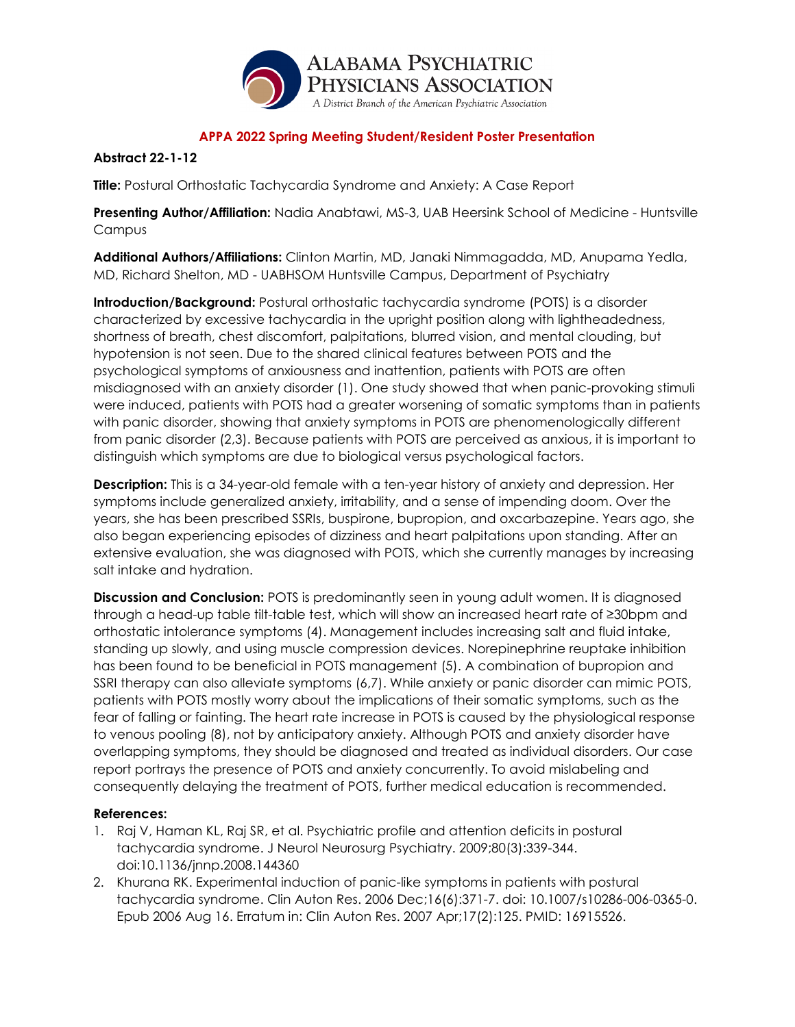

## **Abstract 22-1-12**

**Title:** Postural Orthostatic Tachycardia Syndrome and Anxiety: A Case Report

**Presenting Author/Affiliation:** Nadia Anabtawi, MS-3, UAB Heersink School of Medicine - Huntsville Campus

**Additional Authors/Affiliations:** Clinton Martin, MD, Janaki Nimmagadda, MD, Anupama Yedla, MD, Richard Shelton, MD - UABHSOM Huntsville Campus, Department of Psychiatry

**Introduction/Background:** Postural orthostatic tachycardia syndrome (POTS) is a disorder characterized by excessive tachycardia in the upright position along with lightheadedness, shortness of breath, chest discomfort, palpitations, blurred vision, and mental clouding, but hypotension is not seen. Due to the shared clinical features between POTS and the psychological symptoms of anxiousness and inattention, patients with POTS are often misdiagnosed with an anxiety disorder (1). One study showed that when panic-provoking stimuli were induced, patients with POTS had a greater worsening of somatic symptoms than in patients with panic disorder, showing that anxiety symptoms in POTS are phenomenologically different from panic disorder (2,3). Because patients with POTS are perceived as anxious, it is important to distinguish which symptoms are due to biological versus psychological factors.

**Description:** This is a 34-year-old female with a ten-year history of anxiety and depression. Her symptoms include generalized anxiety, irritability, and a sense of impending doom. Over the years, she has been prescribed SSRIs, buspirone, bupropion, and oxcarbazepine. Years ago, she also began experiencing episodes of dizziness and heart palpitations upon standing. After an extensive evaluation, she was diagnosed with POTS, which she currently manages by increasing salt intake and hydration.

**Discussion and Conclusion:** POTS is predominantly seen in young adult women. It is diagnosed through a head-up table tilt-table test, which will show an increased heart rate of ≥30bpm and orthostatic intolerance symptoms (4). Management includes increasing salt and fluid intake, standing up slowly, and using muscle compression devices. Norepinephrine reuptake inhibition has been found to be beneficial in POTS management (5). A combination of bupropion and SSRI therapy can also alleviate symptoms (6,7). While anxiety or panic disorder can mimic POTS, patients with POTS mostly worry about the implications of their somatic symptoms, such as the fear of falling or fainting. The heart rate increase in POTS is caused by the physiological response to venous pooling (8), not by anticipatory anxiety. Although POTS and anxiety disorder have overlapping symptoms, they should be diagnosed and treated as individual disorders. Our case report portrays the presence of POTS and anxiety concurrently. To avoid mislabeling and consequently delaying the treatment of POTS, further medical education is recommended.

- 1. Raj V, Haman KL, Raj SR, et al. Psychiatric profile and attention deficits in postural tachycardia syndrome. J Neurol Neurosurg Psychiatry. 2009;80(3):339-344. doi:10.1136/jnnp.2008.144360
- 2. Khurana RK. Experimental induction of panic-like symptoms in patients with postural tachycardia syndrome. Clin Auton Res. 2006 Dec;16(6):371-7. doi: 10.1007/s10286-006-0365-0. Epub 2006 Aug 16. Erratum in: Clin Auton Res. 2007 Apr;17(2):125. PMID: 16915526.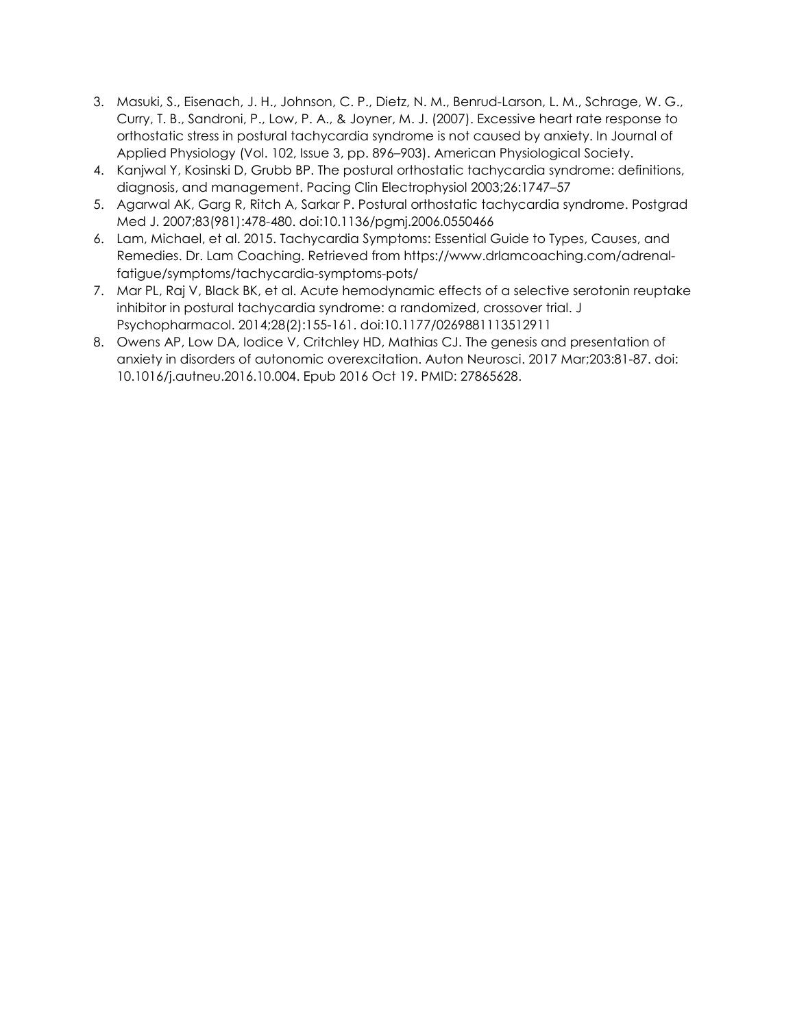- 3. Masuki, S., Eisenach, J. H., Johnson, C. P., Dietz, N. M., Benrud-Larson, L. M., Schrage, W. G., Curry, T. B., Sandroni, P., Low, P. A., & Joyner, M. J. (2007). Excessive heart rate response to orthostatic stress in postural tachycardia syndrome is not caused by anxiety. In Journal of Applied Physiology (Vol. 102, Issue 3, pp. 896–903). American Physiological Society.
- 4. Kanjwal Y, Kosinski D, Grubb BP. The postural orthostatic tachycardia syndrome: definitions, diagnosis, and management. Pacing Clin Electrophysiol 2003;26:1747–57
- 5. Agarwal AK, Garg R, Ritch A, Sarkar P. Postural orthostatic tachycardia syndrome. Postgrad Med J. 2007;83(981):478-480. doi:10.1136/pgmj.2006.0550466
- 6. Lam, Michael, et al. 2015. Tachycardia Symptoms: Essential Guide to Types, Causes, and Remedies. Dr. Lam Coaching. Retrieved from https://www.drlamcoaching.com/adrenalfatigue/symptoms/tachycardia-symptoms-pots/
- 7. Mar PL, Raj V, Black BK, et al. Acute hemodynamic effects of a selective serotonin reuptake inhibitor in postural tachycardia syndrome: a randomized, crossover trial. J Psychopharmacol. 2014;28(2):155-161. doi:10.1177/0269881113512911
- 8. Owens AP, Low DA, Iodice V, Critchley HD, Mathias CJ. The genesis and presentation of anxiety in disorders of autonomic overexcitation. Auton Neurosci. 2017 Mar;203:81-87. doi: 10.1016/j.autneu.2016.10.004. Epub 2016 Oct 19. PMID: 27865628.